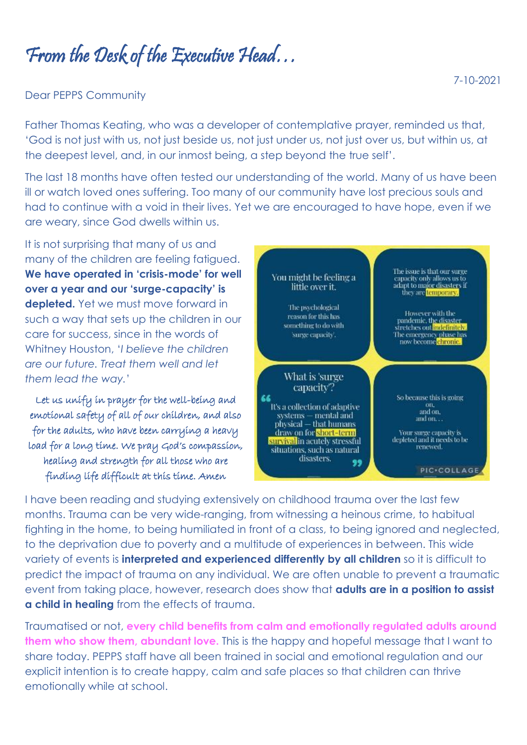From the Desk of the Executive Head…

## Dear PEPPS Community

Father Thomas Keating, who was a developer of contemplative prayer, reminded us that, 'God is not just with us, not just beside us, not just under us, not just over us, but within us, at the deepest level, and, in our inmost being, a step beyond the true self'.

The last 18 months have often tested our understanding of the world. Many of us have been ill or watch loved ones suffering. Too many of our community have lost precious souls and had to continue with a void in their lives. Yet we are encouraged to have hope, even if we are weary, since God dwells within us.

It is not surprising that many of us and many of the children are feeling fatigued. **We have operated in 'crisis-mode' for well over a year and our 'surge-capacity' is depleted.** Yet we must move forward in such a way that sets up the children in our care for success, since in the words of Whitney Houston, '*I believe the children are our future. Treat them well and let them lead the way.*'

Let us unify in prayer for the well-being and emotional safety of all of our children, and also for the adults, who have been carrying a heavy load for a long time. We pray God's compassion, healing and strength for all those who are finding life difficult at this time. Amen



I have been reading and studying extensively on childhood trauma over the last few months. Trauma can be very wide-ranging, from witnessing a heinous crime, to habitual fighting in the home, to being humiliated in front of a class, to being ignored and neglected, to the deprivation due to poverty and a multitude of experiences in between. This wide variety of events is **interpreted and experienced differently by all children** so it is difficult to predict the impact of trauma on any individual. We are often unable to prevent a traumatic event from taking place, however, research does show that **adults are in a position to assist a child in healing** from the effects of trauma.

Traumatised or not, **every child benefits from calm and emotionally regulated adults around them who show them, abundant love.** This is the happy and hopeful message that I want to share today. PEPPS staff have all been trained in social and emotional regulation and our explicit intention is to create happy, calm and safe places so that children can thrive emotionally while at school.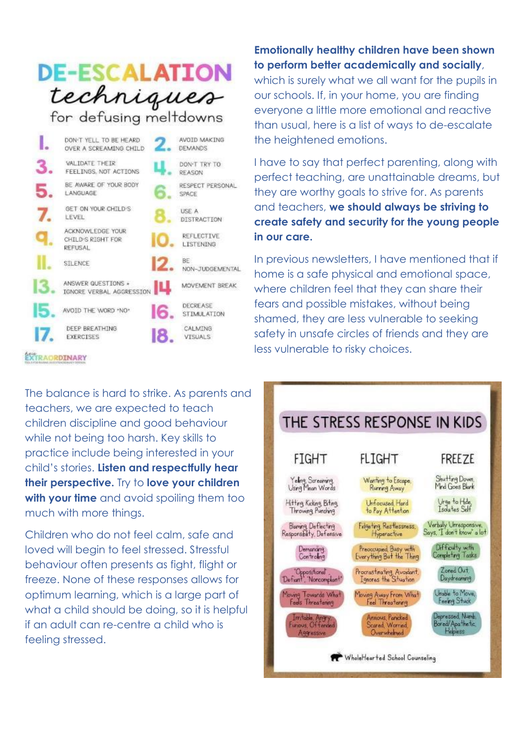## **DE-ESCALATION** techniques

for defusing meltdowns

|    | DON-T YELL TO BE HEARD<br>OVER A SCREAMING CHILD        |    | AVOID MAKING<br><b>DEMANDS</b>        |
|----|---------------------------------------------------------|----|---------------------------------------|
| 3. | VALIDATE THEIR<br>FEELINGS, NOT ACTIONS                 |    | DON'T TRY TO<br>REASON                |
| 5  | BE AWARE OF YOUR BODY<br>LANGUAGE                       |    | RESPECT PERSONAL<br>SPACE             |
|    | GET ON YOUR CHTLD'S<br>LEVEL                            |    | USE A<br>DISTRACTION                  |
|    | ACKNOWLEDGE YOUR<br>CHILD'S RIGHT FOR<br><b>REFUSAL</b> |    | REFLECTIVE<br><b>LISTENING</b>        |
|    | STLENCE                                                 |    | BE:<br>NON-JUDGEMENTAL                |
|    | ANSWER QUESTIONS +<br>IGNORE VERBAL AGGRESSION          |    | MOVEMENT BREAK                        |
| L  | AVOID THE WORD *NO*                                     | 16 | <b>DECREASE</b><br><b>STIMULATION</b> |
|    | DEEP BREATHING<br><b>EXERCISES</b>                      | 18 | CALMING<br><b>VISUALS</b>             |
|    | <b><i>TRAORDINARY</i></b>                               |    |                                       |

**Emotionally healthy children have been shown to perform better academically and socially**,

which is surely what we all want for the pupils in our schools. If, in your home, you are finding everyone a little more emotional and reactive than usual, here is a list of ways to de-escalate the heightened emotions.

I have to say that perfect parenting, along with perfect teaching, are unattainable dreams, but they are worthy goals to strive for. As parents and teachers, **we should always be striving to create safety and security for the young people in our care.**

In previous newsletters, I have mentioned that if home is a safe physical and emotional space, where children feel that they can share their fears and possible mistakes, without being shamed, they are less vulnerable to seeking safety in unsafe circles of friends and they are less vulnerable to risky choices.

The balance is hard to strike. As parents and teachers, we are expected to teach children discipline and good behaviour while not being too harsh. Key skills to practice include being interested in your child's stories. **Listen and respectfully hear their perspective.** Try to **love your children with your time** and avoid spoiling them too much with more things.

Children who do not feel calm, safe and loved will begin to feel stressed. Stressful behaviour often presents as fight, flight or freeze. None of these responses allows for optimum learning, which is a large part of what a child should be doing, so it is helpful if an adult can re-centre a child who is feeling stressed.

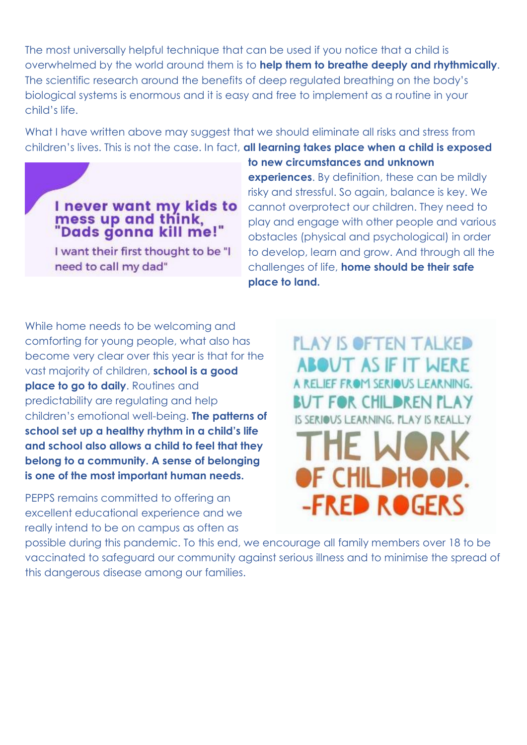The most universally helpful technique that can be used if you notice that a child is overwhelmed by the world around them is to **help them to breathe deeply and rhythmically**. The scientific research around the benefits of deep regulated breathing on the body's biological systems is enormous and it is easy and free to implement as a routine in your child's life.

What I have written above may suggest that we should eliminate all risks and stress from children's lives. This is not the case. In fact, **all learning takes place when a child is exposed** 



I want their first thought to be "I need to call my dad"

**to new circumstances and unknown experiences.** By definition, these can be mildly risky and stressful. So again, balance is key. We cannot overprotect our children. They need to play and engage with other people and various obstacles (physical and psychological) in order to develop, learn and grow. And through all the challenges of life, **home should be their safe place to land.**

While home needs to be welcoming and comforting for young people, what also has become very clear over this year is that for the vast majority of children, **school is a good place to go to daily.** Routines and predictability are regulating and help children's emotional well-being. **The patterns of school set up a healthy rhythm in a child's life and school also allows a child to feel that they belong to a community. A sense of belonging is one of the most important human needs.**

PEPPS remains committed to offering an excellent educational experience and we really intend to be on campus as often as

**PLAY IS OFTEN TALKED ABOUT AS IF IT WERE** A RELIEF FROM SERIOUS LEARNING. BUT FOR CHILDREN PLAY IS SERIOUS LEARNING, PLAY IS REALLY **HE WOR** OF CHILDHOOD. **-FRED ROGERS** 

possible during this pandemic. To this end, we encourage all family members over 18 to be vaccinated to safeguard our community against serious illness and to minimise the spread of this dangerous disease among our families.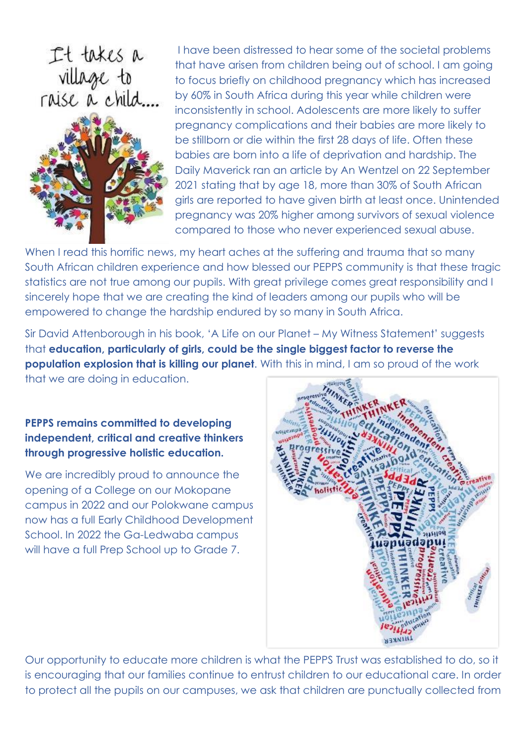It takes a<br>village to<br>raise a child....



I have been distressed to hear some of the societal problems that have arisen from children being out of school. I am going to focus briefly on childhood pregnancy which has increased by 60% in South Africa during this year while children were inconsistently in school. Adolescents are more likely to suffer pregnancy complications and their babies are more likely to be stillborn or die within the first 28 days of life. Often these babies are born into a life of deprivation and hardship. The Daily Maverick ran an article by An Wentzel on 22 September 2021 stating that by age 18, more than 30% of South African girls are reported to have given birth at least once. Unintended pregnancy was 20% higher among survivors of sexual violence compared to those who never experienced sexual abuse.

When I read this horrific news, my heart aches at the suffering and trauma that so many South African children experience and how blessed our PEPPS community is that these tragic statistics are not true among our pupils. With great privilege comes great responsibility and I sincerely hope that we are creating the kind of leaders among our pupils who will be empowered to change the hardship endured by so many in South Africa.

Sir David Attenborough in his book, 'A Life on our Planet – My Witness Statement' suggests that **education, particularly of girls, could be the single biggest factor to reverse the population explosion that is killing our planet**. With this in mind, I am so proud of the work that we are doing in education.

## **PEPPS remains committed to developing independent, critical and creative thinkers through progressive holistic education.**

We are incredibly proud to announce the opening of a College on our Mokopane campus in 2022 and our Polokwane campus now has a full Early Childhood Development School. In 2022 the Ga-Ledwaba campus will have a full Prep School up to Grade 7.



Our opportunity to educate more children is what the PEPPS Trust was established to do, so it is encouraging that our families continue to entrust children to our educational care. In order to protect all the pupils on our campuses, we ask that children are punctually collected from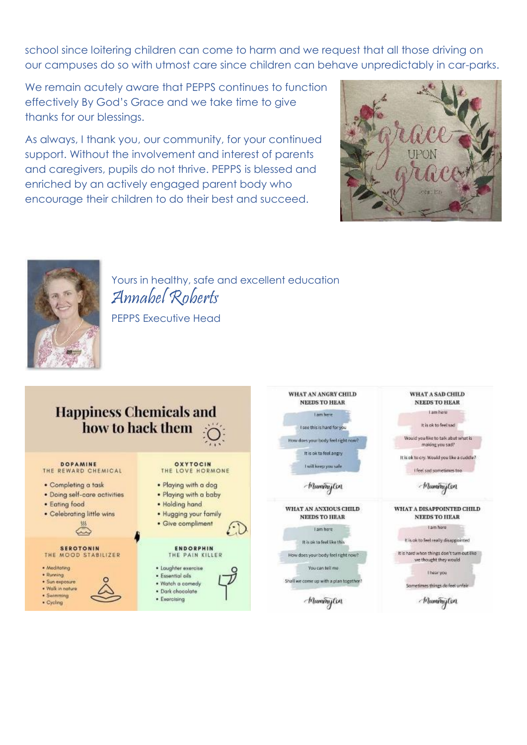school since loitering children can come to harm and we request that all those driving on our campuses do so with utmost care since children can behave unpredictably in car-parks.

We remain acutely aware that PEPPS continues to function effectively By God's Grace and we take time to give thanks for our blessings.

As always, I thank you, our community, for your continued support. Without the involvement and interest of parents and caregivers, pupils do not thrive. PEPPS is blessed and enriched by an actively engaged parent body who encourage their children to do their best and succeed.



WHAT A SAD CHILD

NEEDS TO HEAR

Lamben

It is ok to feel sad



Yours in healthy, safe and excellent education Annabel Roberts PEPPS Executive Head